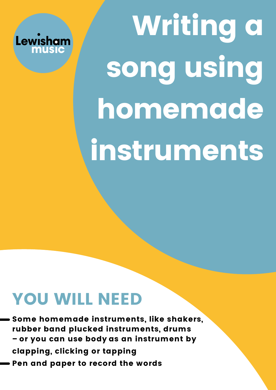

# Writing a song using homemade instruments

## YOU WILL NEED

Some homemade instruments, like shakers, rubber band plucked instruments, drums – or you can use body as an instrument by clapping, clicking or tapping Pen and paper to record the words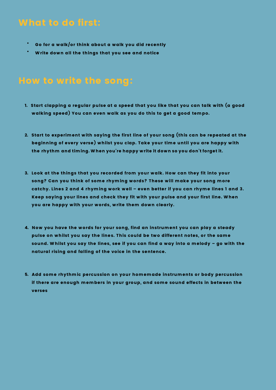### What to do first:

- $\overline{\phantom{a}}$  Go for a walk/or think about a walk you did recently
- Write down all the things that you see and notice

#### How to write the song:

- 1. Start clapping a regular pulse at a speed that you like that you can talk with (a good walking speed) You can even walk as you do this to get a good tempo.
- 2. Start to experiment with saying the first line of your song (this can be repeated at the beginning of every verse) whilst you clap. Take your time until you are happy with the rhythm and timing. W hen you're happy write it down so you don't forget it.
- 3. Look at the things that you recorded from your walk. How can they fit into your song? Can you think of some rhyming words? These will make your song more catchy. Lines 2 and 4 rhyming work well – even better if you can rhyme lines 1 and 3. Keep saying your lines and check they fit with your pulse and your first line. When you are happy with your words, write them down clearly.
- 4. Now you have the words for your song, find an instrument you can play a steady pulse on whilst you say the lines. This could be two different notes, or the same sound. W hilst you say the lines, see if you can find a way into a melody – go with the natural rising and falling of the voice in the sentence.
- 5. Add some rhythmic percussion on your homemade instruments or body percussion if there are enough members in your group, and some sound effects in between the verses